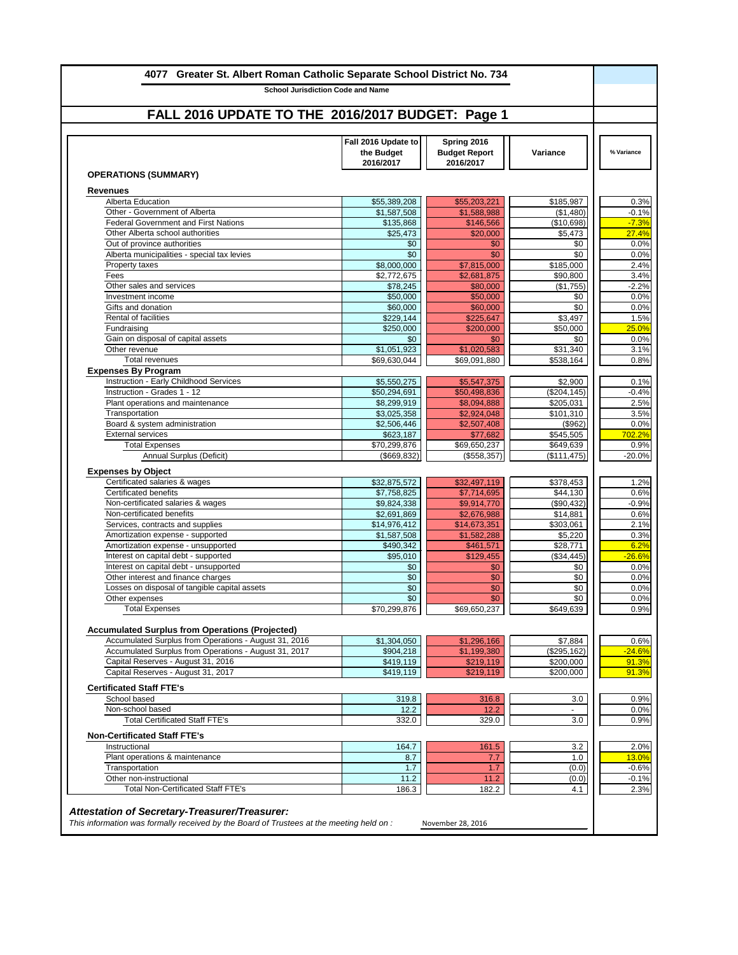| 4077 Greater St. Albert Roman Catholic Separate School District No. 734<br><b>School Jurisdiction Code and Name</b> |                                                |                                                  |                               |                  |
|---------------------------------------------------------------------------------------------------------------------|------------------------------------------------|--------------------------------------------------|-------------------------------|------------------|
|                                                                                                                     |                                                |                                                  |                               |                  |
| FALL 2016 UPDATE TO THE 2016/2017 BUDGET: Page 1                                                                    |                                                |                                                  |                               |                  |
|                                                                                                                     | Fall 2016 Update to<br>the Budget<br>2016/2017 | Spring 2016<br><b>Budget Report</b><br>2016/2017 | <b>Variance</b>               | % Variance       |
| <b>OPERATIONS (SUMMARY)</b>                                                                                         |                                                |                                                  |                               |                  |
| <b>Revenues</b>                                                                                                     |                                                |                                                  |                               |                  |
| <b>Alberta Education</b>                                                                                            | \$55,389,208                                   | \$55,203,221                                     | \$185,987                     |                  |
| Other - Government of Alberta                                                                                       | \$1,587,508                                    | \$1,588,988                                      | (\$1,480)                     | $-0.1%$          |
| <b>Federal Government and First Nations</b><br>Other Alberta school authorities                                     | \$135,868<br>\$25,473                          | \$146,566<br>\$20,000                            | (\$10,698)<br>\$5,473         | $-7.3%$<br>27.4% |
| Out of province authorities                                                                                         | \$0                                            | \$0                                              | \$0                           |                  |
| Alberta municipalities - special tax levies                                                                         | \$0                                            | \$0                                              | \$0                           |                  |
| <b>Property taxes</b>                                                                                               | \$8,000,000                                    | \$7,815,000                                      | \$185,000                     |                  |
| Fees                                                                                                                | \$2,772,675                                    | \$2,681,875                                      | \$90,800                      |                  |
| Other sales and services                                                                                            | \$78,245                                       | \$80,000                                         | (\$1,755)                     | $-2.2%$          |
| Investment income                                                                                                   | \$50,000                                       | \$50,000                                         | \$0                           |                  |
| Gifts and donation                                                                                                  | \$60,000                                       | \$60,000                                         | \$0                           |                  |
| <b>Rental of facilities</b>                                                                                         | \$229,144                                      | \$225,647                                        | \$3,497                       |                  |
| Fundraising                                                                                                         | \$250,000                                      | \$200,000                                        | \$50,000                      | 25.0%            |
| Gain on disposal of capital assets                                                                                  | \$0                                            | \$0                                              | \$0                           |                  |
| Other revenue                                                                                                       | \$1,051,923                                    | \$1,020,583                                      | \$31,340                      |                  |
| <b>Total revenues</b>                                                                                               | \$69,630,044                                   | \$69,091,880                                     | \$538,164                     |                  |
| <b>Expenses By Program</b>                                                                                          |                                                |                                                  |                               |                  |
| <b>Instruction - Early Childhood Services</b><br>Instruction - Grades 1 - 12                                        | \$5,550,275<br>\$50,294,691                    | \$5,547,375<br>\$50,498,836                      | \$2,900<br>$($ \$204,145) $ $ | $-0.4%$          |
| Plant operations and maintenance                                                                                    | \$8,299,919                                    | \$8,094,888                                      | \$205,031                     |                  |
| Transportation                                                                                                      | \$3,025,358                                    | \$2,924,048                                      | \$101,310                     |                  |
| Board & system administration                                                                                       | \$2,506,446                                    | \$2,507,408                                      | (\$962)                       |                  |
| <b>External services</b>                                                                                            | \$623,187                                      | \$77,682                                         | \$545,505                     | 702.2%           |
| <b>Total Expenses</b>                                                                                               | \$70,299,876                                   | \$69,650,237                                     | \$649,639                     |                  |
| <b>Annual Surplus (Deficit)</b>                                                                                     | (\$669, 832)                                   | (\$558,357)                                      | (\$111,475)                   | $-20.0%$         |
| <b>Expenses by Object</b>                                                                                           |                                                |                                                  |                               |                  |
| Certificated salaries & wages                                                                                       | \$32,875,572                                   | \$32,497,119                                     | \$378,453                     |                  |
| <b>Certificated benefits</b>                                                                                        | \$7,758,825                                    | \$7,714,695                                      | \$44,130                      |                  |
| Non-certificated salaries & wages                                                                                   | \$9,824,338                                    | \$9,914,770                                      | (\$90,432)                    | $-0.9%$          |
| Non-certificated benefits                                                                                           | \$2,691,869                                    | \$2,676,988                                      | \$14,881                      |                  |
| Services, contracts and supplies                                                                                    | \$14,976,412                                   | \$14,673,351                                     | \$303,061                     |                  |
| Amortization expense - supported                                                                                    | \$1,587,508                                    | \$1,582,288                                      | \$5,220                       |                  |
| Amortization expense - unsupported                                                                                  | \$490,342                                      | \$461,571                                        | \$28,771                      |                  |
| Interest on capital debt - supported                                                                                | \$95,010                                       | \$129,455                                        | (\$34,445)                    | $-26.6%$         |
| Interest on capital debt - unsupported                                                                              | \$0                                            | \$0                                              | \$0                           |                  |
| Other interest and finance charges<br>Losses on disposal of tangible capital assets                                 | \$0<br>\$0                                     | \$0<br>\$0                                       | \$0<br>\$0                    |                  |
| Other expenses                                                                                                      | \$0                                            | \$0                                              | \$0                           |                  |
| <b>Total Expenses</b>                                                                                               | \$70,299,876                                   | \$69,650,237                                     | \$649,639                     |                  |
|                                                                                                                     |                                                |                                                  |                               |                  |
| <b>Accumulated Surplus from Operations (Projected)</b>                                                              |                                                |                                                  |                               |                  |
| Accumulated Surplus from Operations - August 31, 2016                                                               | \$1,304,050                                    | \$1,296,166                                      | \$7,884                       |                  |
| Accumulated Surplus from Operations - August 31, 2017                                                               | \$904,218                                      | \$1,199,380                                      | (\$295, 162)                  | $-24.6%$         |
| Capital Reserves - August 31, 2016                                                                                  | \$419,119                                      | \$219,119                                        | \$200,000                     | 91.3%            |
| Capital Reserves - August 31, 2017                                                                                  | \$419,119                                      | \$219,119                                        | \$200,000                     | 91.3%            |
| <b>Certificated Staff FTE's</b>                                                                                     |                                                |                                                  |                               |                  |
| School based                                                                                                        | 319.8                                          | 316.8                                            | 3.0                           |                  |
| Non-school based                                                                                                    | 12.2                                           | 12.2                                             |                               |                  |
| <b>Total Certificated Staff FTE's</b>                                                                               | 332.0                                          | 329.0                                            | 3.0                           |                  |
| <b>Non-Certificated Staff FTE's</b>                                                                                 |                                                |                                                  |                               |                  |
| Instructional                                                                                                       | 164.7                                          | 161.5                                            | 3.2                           |                  |
| Plant operations & maintenance                                                                                      | 8.7                                            | 7.7                                              | 1.0                           | 13.0%            |
| Transportation                                                                                                      | 1.7                                            | 1.7                                              | (0.0)                         | $-0.6%$          |
| Other non-instructional                                                                                             | 11.2                                           | 11.2                                             | (0.0)                         | $-0.1%$          |
| <b>Total Non-Certificated Staff FTE's</b>                                                                           | 186.3                                          | 182.2                                            | 4.1                           |                  |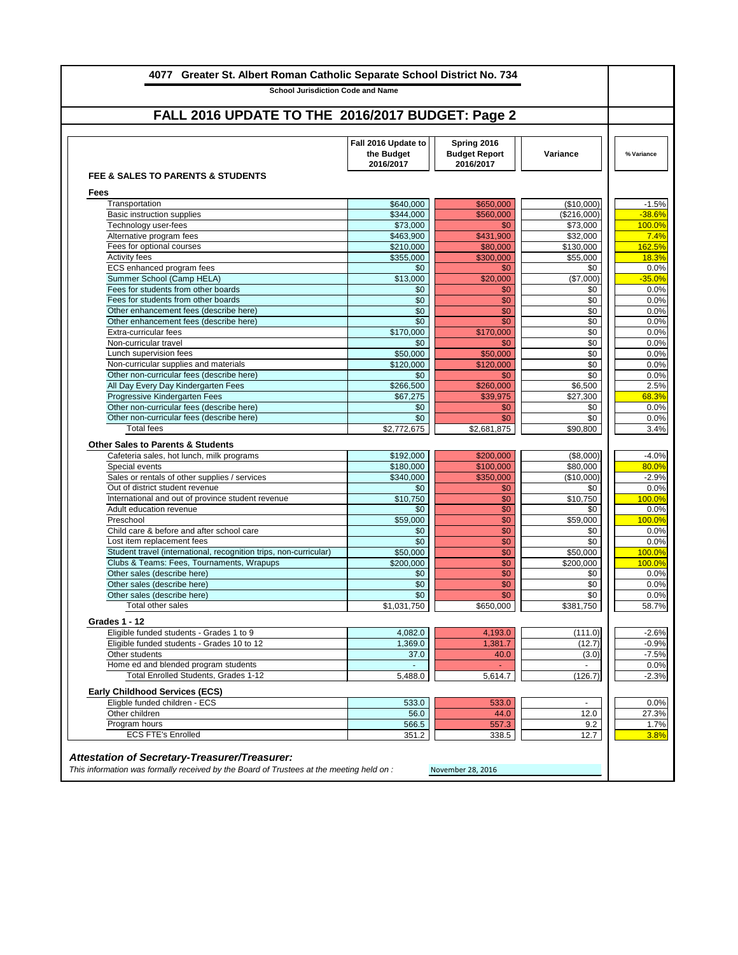| <b>School Jurisdiction Code and Name</b>                                                                       |                                                |                                                  |                       |                  |
|----------------------------------------------------------------------------------------------------------------|------------------------------------------------|--------------------------------------------------|-----------------------|------------------|
| FALL 2016 UPDATE TO THE 2016/2017 BUDGET: Page 2                                                               |                                                |                                                  |                       |                  |
|                                                                                                                | Fall 2016 Update to<br>the Budget<br>2016/2017 | Spring 2016<br><b>Budget Report</b><br>2016/2017 | Variance              | % Variance       |
| <b>FEE &amp; SALES TO PARENTS &amp; STUDENTS</b>                                                               |                                                |                                                  |                       |                  |
| <b>Fees</b>                                                                                                    |                                                |                                                  |                       |                  |
| Transportation                                                                                                 | \$640,000                                      | \$650,000                                        | (\$10,000)            |                  |
| <b>Basic instruction supplies</b>                                                                              | \$344,000                                      | \$560,000                                        | (\$216,000)           | $-38.6%$         |
| Fechnology user-fees                                                                                           | \$73,000                                       | \$0                                              | \$73,000              | 100.0%           |
| Alternative program fees<br>Fees for optional courses                                                          | \$463,900                                      | \$431,900<br>\$80,000                            | \$32,000<br>\$130,000 | 162.5%           |
| <b>Activity fees</b>                                                                                           | \$210,000<br>\$355,000                         | \$300,000                                        | \$55,000              |                  |
| ECS enhanced program fees                                                                                      | \$0                                            | \$0                                              | \$0                   |                  |
| Summer School (Camp HELA)                                                                                      | \$13,000                                       | \$20,000                                         | (\$7,000)             | $-35.0%$         |
| Fees for students from other boards                                                                            | \$0                                            | \$0                                              | \$0                   |                  |
| Fees for students from other boards                                                                            | \$0                                            | \$0                                              | \$0                   |                  |
| Other enhancement fees (describe here)                                                                         | \$0                                            | \$0                                              | \$0                   |                  |
| Other enhancement fees (describe here)                                                                         | \$0                                            | \$0                                              | \$0                   |                  |
| Extra-curricular fees                                                                                          | \$170,000                                      | \$170,000                                        | \$0                   |                  |
| Non-curricular travel                                                                                          | \$0                                            | \$0                                              | $\sqrt{$0}$           |                  |
| Lunch supervision fees                                                                                         | \$50,000                                       | \$50,000                                         | \$0                   |                  |
| Non-curricular supplies and materials                                                                          | \$120,000                                      | \$120,000                                        | \$0                   |                  |
| Other non-curricular fees (describe here)                                                                      | \$0                                            | \$0                                              | \$0                   |                  |
| All Day Every Day Kindergarten Fees                                                                            | \$266,500                                      | \$260,000                                        | \$6,500               |                  |
| <b>Progressive Kindergarten Fees</b>                                                                           | \$67,275                                       | \$39,975                                         | \$27,300              |                  |
| Other non-curricular fees (describe here)                                                                      | \$0                                            | \$0                                              | \$0                   |                  |
| Other non-curricular fees (describe here)                                                                      | \$0                                            | \$0                                              | \$0                   |                  |
| <b>Total fees</b>                                                                                              | \$2,772,675                                    | \$2,681,875                                      | \$90,800              |                  |
| <b>Other Sales to Parents &amp; Students</b>                                                                   |                                                |                                                  |                       |                  |
| Cafeteria sales, hot lunch, milk programs                                                                      | \$192,000                                      | \$200,000                                        | (\$8,000)             |                  |
| Special events                                                                                                 | \$180,000                                      | \$100,000                                        | \$80,000              |                  |
| Sales or rentals of other supplies / services                                                                  | \$340,000                                      | \$350,000                                        | (\$10,000)            |                  |
| Out of district student revenue                                                                                | \$0                                            | \$0                                              | \$0                   |                  |
| International and out of province student revenue                                                              | \$10,750                                       | \$0                                              | \$10,750              | 100.0%           |
| Adult education revenue                                                                                        | \$0                                            | \$0                                              | \$0                   |                  |
| Preschool                                                                                                      | \$59,000                                       | \$0                                              | \$59,000              | 100.0%           |
| Child care & before and after school care                                                                      | \$0                                            | \$0                                              | \$0                   |                  |
| Lost item replacement fees                                                                                     | \$0                                            | $\overline{60}$                                  | \$0                   |                  |
| Student travel (international, recognition trips, non-curricular)<br>Clubs & Teams: Fees, Tournaments, Wrapups | \$50,000<br>\$200,000                          | \$0<br>\$0                                       | \$50,000<br>\$200,000 | 100.0%<br>100.0% |
| Other sales (describe here)                                                                                    | \$0                                            | \$0                                              | \$0                   |                  |
| Other sales (describe here)                                                                                    | \$0                                            | \$0                                              | \$0                   |                  |
| Other sales (describe here)                                                                                    | \$0                                            | \$0                                              | \$0                   |                  |
| Total other sales                                                                                              | \$1,031,750                                    | \$650,000                                        | \$381,750             |                  |
|                                                                                                                |                                                |                                                  |                       |                  |
| <b>Grades 1 - 12</b>                                                                                           |                                                |                                                  |                       |                  |
| Eligible funded students - Grades 1 to 9                                                                       | 4,082.0                                        | 4,193.0                                          | (111.0)               |                  |
| Eligible funded students - Grades 10 to 12                                                                     | 1,369.0                                        | 1,381.7                                          | (12.7)                |                  |
| Other students                                                                                                 | 37.0                                           | 40.0                                             | (3.0)                 |                  |
| Home ed and blended program students                                                                           |                                                |                                                  |                       |                  |
| Total Enrolled Students, Grades 1-12                                                                           | 5,488.0                                        | 5,614.7                                          | (126.7)               |                  |
| <b>Early Childhood Services (ECS)</b>                                                                          |                                                |                                                  |                       |                  |
| Eligble funded children - ECS                                                                                  | 533.0                                          | 533.0                                            | $\blacksquare$        |                  |
| Other children                                                                                                 | 56.0                                           | 44.0                                             | 12.0                  |                  |
| Program hours                                                                                                  | 566.5                                          | 557.3                                            | 9.2                   |                  |
| <b>ECS FTE's Enrolled</b>                                                                                      | 351.2                                          | 338.5                                            | 12.7                  |                  |
|                                                                                                                |                                                |                                                  |                       |                  |